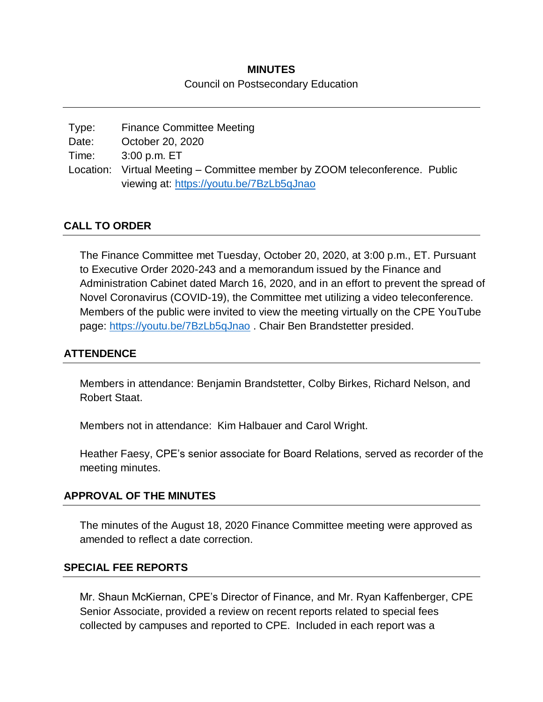# **MINUTES**

#### Council on Postsecondary Education

| Type: | <b>Finance Committee Meeting</b>                                            |  |
|-------|-----------------------------------------------------------------------------|--|
| Date: | October 20, 2020                                                            |  |
| Time: | 3:00 p.m. ET                                                                |  |
|       | Location: Virtual Meeting – Committee member by ZOOM teleconference. Public |  |
|       | viewing at: https://youtu.be/7BzLb5qJnao                                    |  |

# **CALL TO ORDER**

The Finance Committee met Tuesday, October 20, 2020, at 3:00 p.m., ET. Pursuant to Executive Order 2020-243 and a memorandum issued by the Finance and Administration Cabinet dated March 16, 2020, and in an effort to prevent the spread of Novel Coronavirus (COVID-19), the Committee met utilizing a video teleconference. Members of the public were invited to view the meeting virtually on the CPE YouTube page:<https://youtu.be/7BzLb5qJnao>. Chair Ben Brandstetter presided.

### **ATTENDENCE**

Members in attendance: Benjamin Brandstetter, Colby Birkes, Richard Nelson, and Robert Staat.

Members not in attendance: Kim Halbauer and Carol Wright.

Heather Faesy, CPE's senior associate for Board Relations, served as recorder of the meeting minutes.

### **APPROVAL OF THE MINUTES**

The minutes of the August 18, 2020 Finance Committee meeting were approved as amended to reflect a date correction.

### **SPECIAL FEE REPORTS**

Mr. Shaun McKiernan, CPE's Director of Finance, and Mr. Ryan Kaffenberger, CPE Senior Associate, provided a review on recent reports related to special fees collected by campuses and reported to CPE. Included in each report was a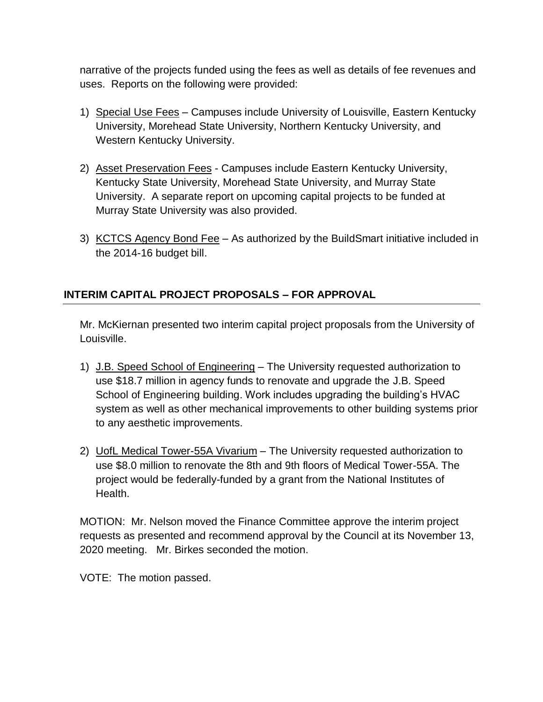narrative of the projects funded using the fees as well as details of fee revenues and uses. Reports on the following were provided:

- 1) Special Use Fees Campuses include University of Louisville, Eastern Kentucky University, Morehead State University, Northern Kentucky University, and Western Kentucky University.
- 2) Asset Preservation Fees Campuses include Eastern Kentucky University, Kentucky State University, Morehead State University, and Murray State University. A separate report on upcoming capital projects to be funded at Murray State University was also provided.
- 3) KCTCS Agency Bond Fee As authorized by the BuildSmart initiative included in the 2014-16 budget bill.

# **INTERIM CAPITAL PROJECT PROPOSALS – FOR APPROVAL**

Mr. McKiernan presented two interim capital project proposals from the University of Louisville.

- 1) J.B. Speed School of Engineering The University requested authorization to use \$18.7 million in agency funds to renovate and upgrade the J.B. Speed School of Engineering building. Work includes upgrading the building's HVAC system as well as other mechanical improvements to other building systems prior to any aesthetic improvements.
- 2) UofL Medical Tower-55A Vivarium The University requested authorization to use \$8.0 million to renovate the 8th and 9th floors of Medical Tower-55A. The project would be federally-funded by a grant from the National Institutes of Health.

MOTION: Mr. Nelson moved the Finance Committee approve the interim project requests as presented and recommend approval by the Council at its November 13, 2020 meeting. Mr. Birkes seconded the motion.

VOTE: The motion passed.